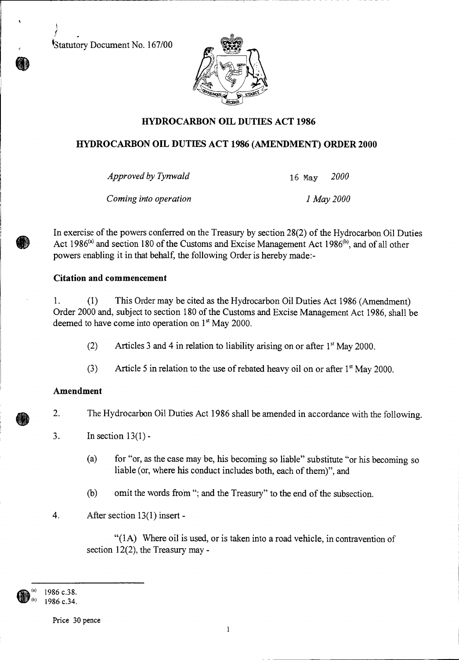Statutory Document No. 167/00

f



# **HYDROCARBON OIL DUTIES ACT 1986**

### **HYDROCARBON OIL DUTIES ACT 1986 (AMENDMENT) ORDER 2000**

*Approved by Tynwald* 16 May *2000* 

*Coming into operation 1 May 2000* 

In exercise of the powers conferred on the Treasury by section 28(2) of the Hydrocarbon Oil Duties Act 1986<sup>(a)</sup> and section 180 of the Customs and Excise Management Act 1986<sup>(b)</sup>, and of all other powers enabling it in that behalf, the following Order is hereby made:-

### **Citation and commencement**

1. (1) This Order may be cited as the Hydrocarbon Oil Duties Act 1986 (Amendment) Order 2000 and, subject to section 180 of the Customs and Excise Management Act 1986, shall be deemed to have come into operation on 1<sup>st</sup> May 2000.

- (2) Articles 3 and 4 in relation to liability arising on or after  $1<sup>st</sup>$  May 2000.
- (3) Article 5 in relation to the use of rebated heavy oil on or after  $1<sup>st</sup>$  May 2000.

## **Amendment**

2. The Hydrocarbon Oil Duties Act 1986 shall be amended in accordance with the following.

3. In section  $13(1)$  -

- (a) for "or, as the case may be, his becoming so liable" substitute "or his becoming so liable (or, where his conduct includes both, each of them)", and
- (b) omit the words from "; and the Treasury" to the end of the subsection.
- 4. After section 13(1) insert -

 $"(1A)$  Where oil is used, or is taken into a road vehicle, in contravention of section 12(2), the Treasury may -

1986 c.38. 1986 c.34.

Price 30 pence